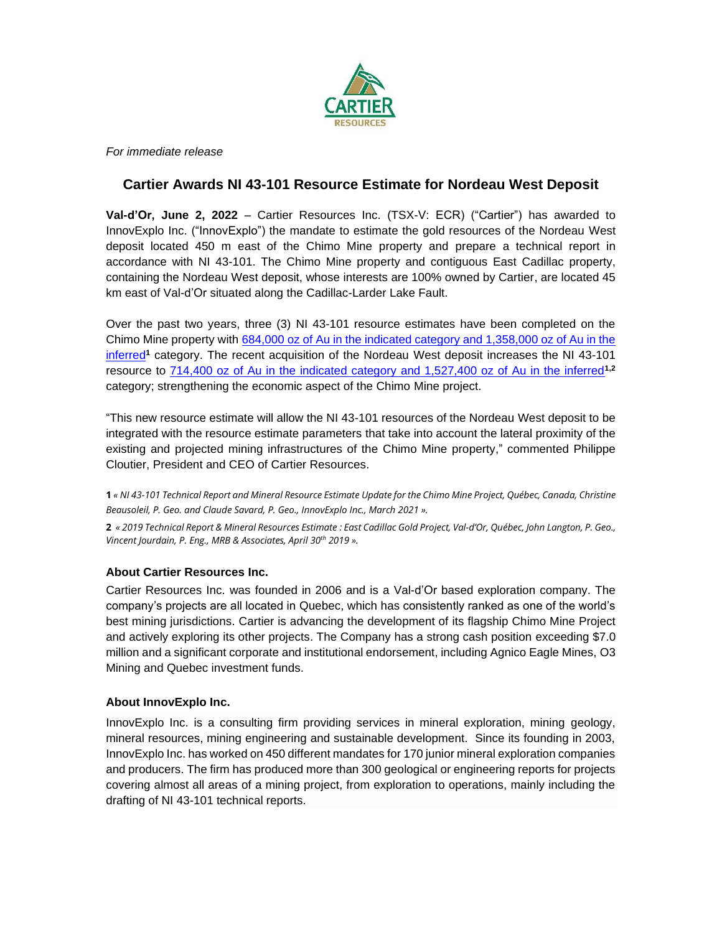

*For immediate release*

## **Cartier Awards NI 43-101 Resource Estimate for Nordeau West Deposit**

**Val-d'Or, June 2, 2022** – Cartier Resources Inc. (TSX-V: ECR) ("Cartier") has awarded to InnovExplo Inc. ("InnovExplo") the mandate to estimate the gold resources of the Nordeau West deposit located 450 m east of the Chimo Mine property and prepare a technical report in accordance with NI 43-101. The Chimo Mine property and contiguous East Cadillac property, containing the Nordeau West deposit, whose interests are 100% owned by Cartier, are located 45 km east of Val-d'Or situated along the Cadillac-Larder Lake Fault.

Over the past two years, three (3) NI 43-101 resource estimates have been completed on the Chimo Mine property with [684,000 oz of Au in the indicated category and 1,358,000 oz of Au in the](https://ressourcescartier.com/press-releases/cartier-files-on-sedar-the-ni-43-101-technical-report-for-the-mineral-resource-estimate-of-the-chimo-mine-property/)  [inferred](https://ressourcescartier.com/press-releases/cartier-files-on-sedar-the-ni-43-101-technical-report-for-the-mineral-resource-estimate-of-the-chimo-mine-property/)**<sup>1</sup>** category. The recent acquisition of the Nordeau West deposit increases the NI 43-101 resource to [714,400 oz of Au in the indicated category and 1,527,400 oz of Au in the inferred](https://chalicemining.com/sites/default/files/2019-06/2019%20East%20Cadillac%2043-101%20MRE-FINALcmp.pdf)**1,2** category; strengthening the economic aspect of the Chimo Mine project.

"This new resource estimate will allow the NI 43-101 resources of the Nordeau West deposit to be integrated with the resource estimate parameters that take into account the lateral proximity of the existing and projected mining infrastructures of the Chimo Mine property," commented Philippe Cloutier, President and CEO of Cartier Resources.

1 « NI 43-101 Technical Report and Mineral Resource Estimate Update for the Chimo Mine Project, Québec, Canada, Christine *Beausoleil, P. Geo. and Claude Savard, P. Geo., InnovExplo Inc., March 2021 ».*

2 « 2019 Technical Report & Mineral Resources Estimate : East Cadillac Gold Project, Val-d'Or, Québec, John Langton, P. Geo., *Vincent Jourdain, P. Eng., MRB & Associates, April 30th 2019 ».*

## **About Cartier Resources Inc.**

Cartier Resources Inc. was founded in 2006 and is a Val-d'Or based exploration company. The company's projects are all located in Quebec, which has consistently ranked as one of the world's best mining jurisdictions. Cartier is advancing the development of its flagship Chimo Mine Project and actively exploring its other projects. The Company has a strong cash position exceeding \$7.0 million and a significant corporate and institutional endorsement, including Agnico Eagle Mines, O3 Mining and Quebec investment funds.

## **About InnovExplo Inc.**

InnovExplo Inc. is a consulting firm providing services in mineral exploration, mining geology, mineral resources, mining engineering and sustainable development. Since its founding in 2003, InnovExplo Inc. has worked on 450 different mandates for 170 junior mineral exploration companies and producers. The firm has produced more than 300 geological or engineering reports for projects covering almost all areas of a mining project, from exploration to operations, mainly including the drafting of NI 43-101 technical reports.